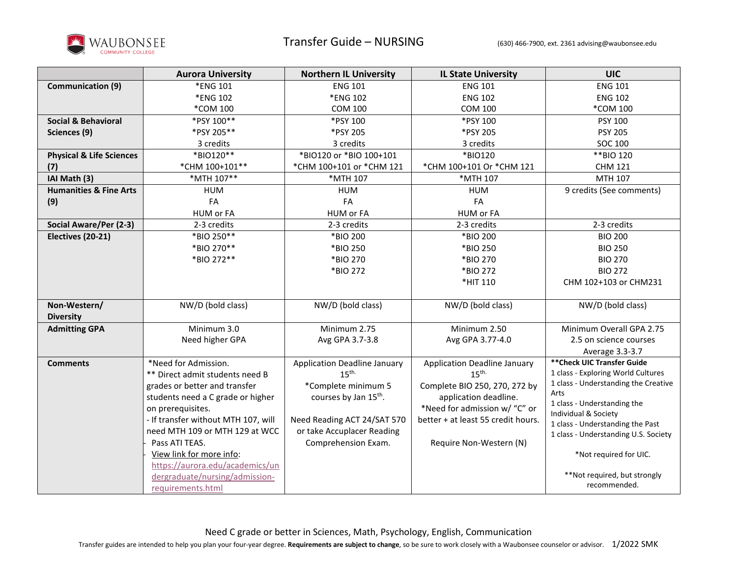

|                                     | <b>Aurora University</b>            | <b>Northern IL University</b>       | <b>IL State University</b>          | <b>UIC</b>                                |
|-------------------------------------|-------------------------------------|-------------------------------------|-------------------------------------|-------------------------------------------|
| <b>Communication (9)</b>            | *ENG 101                            | <b>ENG 101</b>                      | <b>ENG 101</b>                      | <b>ENG 101</b>                            |
|                                     | *ENG 102                            | *ENG 102                            | <b>ENG 102</b>                      | <b>ENG 102</b>                            |
|                                     | <i>*COM</i> 100                     | <b>COM 100</b>                      | <b>COM 100</b>                      | *COM 100                                  |
| <b>Social &amp; Behavioral</b>      | *PSY 100**                          | *PSY 100                            | *PSY 100                            | PSY 100                                   |
| Sciences (9)                        | *PSY 205**                          | *PSY 205                            | *PSY 205                            | <b>PSY 205</b>                            |
|                                     | 3 credits                           | 3 credits                           | 3 credits                           | SOC 100                                   |
| <b>Physical &amp; Life Sciences</b> | *BIO120**                           | *BIO120 or *BIO 100+101             | *BIO120                             | **BIO 120                                 |
| (7)                                 | *CHM 100+101**                      | *CHM 100+101 or *CHM 121            | *CHM 100+101 Or *CHM 121            | <b>CHM 121</b>                            |
| IAI Math (3)                        | *MTH 107**                          | *MTH 107                            | *MTH 107                            | MTH 107                                   |
| <b>Humanities &amp; Fine Arts</b>   | <b>HUM</b>                          | <b>HUM</b>                          | <b>HUM</b>                          | 9 credits (See comments)                  |
| (9)                                 | FA                                  | FA                                  | FA                                  |                                           |
|                                     | HUM or FA                           | HUM or FA                           | HUM or FA                           |                                           |
| Social Aware/Per (2-3)              | 2-3 credits                         | 2-3 credits                         | 2-3 credits                         | 2-3 credits                               |
| Electives (20-21)                   | *BIO 250**                          | *BIO 200                            | *BIO 200                            | <b>BIO 200</b>                            |
|                                     | *BIO 270**                          | *BIO 250                            | *BIO 250                            | <b>BIO 250</b>                            |
|                                     | *BIO 272**                          | *BIO 270                            | *BIO 270                            | <b>BIO 270</b>                            |
|                                     |                                     | *BIO 272                            | *BIO 272                            | <b>BIO 272</b>                            |
|                                     |                                     |                                     | *HIT 110                            | CHM 102+103 or CHM231                     |
|                                     | NW/D (bold class)                   | NW/D (bold class)                   |                                     |                                           |
| Non-Western/                        |                                     |                                     | NW/D (bold class)                   | NW/D (bold class)                         |
| <b>Diversity</b>                    | Minimum 3.0                         | Minimum 2.75                        | Minimum 2.50                        | Minimum Overall GPA 2.75                  |
| <b>Admitting GPA</b>                |                                     |                                     |                                     |                                           |
|                                     | Need higher GPA                     | Avg GPA 3.7-3.8                     | Avg GPA 3.77-4.0                    | 2.5 on science courses<br>Average 3.3-3.7 |
| <b>Comments</b>                     | *Need for Admission.                | <b>Application Deadline January</b> | <b>Application Deadline January</b> | ** Check UIC Transfer Guide               |
|                                     | ** Direct admit students need B     | 15 <sup>th</sup>                    | 15 <sup>th</sup>                    | 1 class - Exploring World Cultures        |
|                                     | grades or better and transfer       | *Complete minimum 5                 | Complete BIO 250, 270, 272 by       | 1 class - Understanding the Creative      |
|                                     | students need a C grade or higher   | courses by Jan 15 <sup>th</sup> .   | application deadline.               | Arts                                      |
|                                     | on prerequisites.                   |                                     | *Need for admission w/ "C" or       | 1 class - Understanding the               |
|                                     | - If transfer without MTH 107, will | Need Reading ACT 24/SAT 570         | better + at least 55 credit hours.  | Individual & Society                      |
|                                     | need MTH 109 or MTH 129 at WCC      | or take Accuplacer Reading          |                                     | 1 class - Understanding the Past          |
|                                     | Pass ATI TEAS.                      | Comprehension Exam.                 | Require Non-Western (N)             | 1 class - Understanding U.S. Society      |
|                                     | View link for more info:            |                                     |                                     | *Not required for UIC.                    |
|                                     | https://aurora.edu/academics/un     |                                     |                                     |                                           |
|                                     | dergraduate/nursing/admission-      |                                     |                                     | **Not required, but strongly              |
|                                     | requirements.html                   |                                     |                                     | recommended.                              |